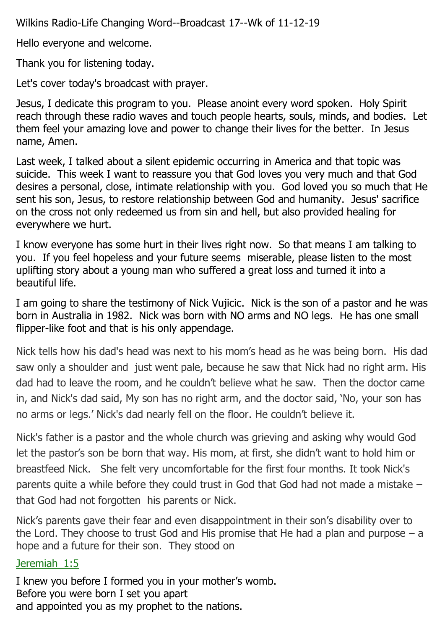Wilkins Radio-Life Changing Word--Broadcast 17--Wk of 11-12-19

Hello everyone and welcome.

Thank you for listening today.

Let's cover today's broadcast with prayer.

Jesus, I dedicate this program to you. Please anoint every word spoken. Holy Spirit reach through these radio waves and touch people hearts, souls, minds, and bodies. Let them feel your amazing love and power to change their lives for the better. In Jesus name, Amen.

Last week, I talked about a silent epidemic occurring in America and that topic was suicide. This week I want to reassure you that God loves you very much and that God desires a personal, close, intimate relationship with you. God loved you so much that He sent his son, Jesus, to restore relationship between God and humanity. Jesus' sacrifice on the cross not only redeemed us from sin and hell, but also provided healing for everywhere we hurt.

I know everyone has some hurt in their lives right now. So that means I am talking to you. If you feel hopeless and your future seems miserable, please listen to the most uplifting story about a young man who suffered a great loss and turned it into a beautiful life.

I am going to share the testimony of Nick Vujicic. Nick is the son of a pastor and he was born in Australia in 1982. Nick was born with NO arms and NO legs. He has one small flipper-like foot and that is his only appendage.

Nick tells how his dad's head was next to his mom's head as he was being born. His dad saw only a shoulder and just went pale, because he saw that Nick had no right arm. His dad had to leave the room, and he couldn't believe what he saw. Then the doctor came in, and Nick's dad said, My son has no right arm, and the doctor said, 'No, your son has no arms or legs.' Nick's dad nearly fell on the floor. He couldn't believe it.

Nick's father is a pastor and the whole church was grieving and asking why would God let the pastor's son be born that way. His mom, at first, she didn't want to hold him or breastfeed Nick. She felt very uncomfortable for the first four months. It took Nick's parents quite a while before they could trust in God that God had not made a mistake – that God had not forgotten his parents or Nick.

Nick's parents gave their fear and even disappointment in their son's disability over to the Lord. They choose to trust God and His promise that He had a plan and purpose  $-$  a hope and a future for their son. They stood on

## Jeremiah\_1:5

I knew you before I formed you in your mother's womb. Before you were born I set you apart and appointed you as my prophet to the nations.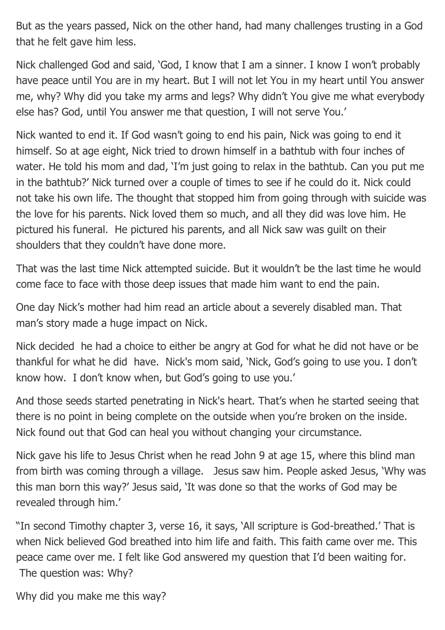But as the years passed, Nick on the other hand, had many challenges trusting in a God that he felt gave him less.

Nick challenged God and said, 'God, I know that I am a sinner. I know I won't probably have peace until You are in my heart. But I will not let You in my heart until You answer me, why? Why did you take my arms and legs? Why didn't You give me what everybody else has? God, until You answer me that question, I will not serve You.'

Nick wanted to end it. If God wasn't going to end his pain, Nick was going to end it himself. So at age eight, Nick tried to drown himself in a bathtub with four inches of water. He told his mom and dad, 'I'm just going to relax in the bathtub. Can you put me in the bathtub?' Nick turned over a couple of times to see if he could do it. Nick could not take his own life. The thought that stopped him from going through with suicide was the love for his parents. Nick loved them so much, and all they did was love him. He pictured his funeral. He pictured his parents, and all Nick saw was guilt on their shoulders that they couldn't have done more.

That was the last time Nick attempted suicide. But it wouldn't be the last time he would come face to face with those deep issues that made him want to end the pain.

One day Nick's mother had him read an article about a severely disabled man. That man's story made a huge impact on Nick.

Nick decided he had a choice to either be angry at God for what he did not have or be thankful for what he did have. Nick's mom said, 'Nick, God's going to use you. I don't know how. I don't know when, but God's going to use you.'

And those seeds started penetrating in Nick's heart. That's when he started seeing that there is no point in being complete on the outside when you're broken on the inside. Nick found out that God can heal you without changing your circumstance.

Nick gave his life to Jesus Christ when he read John 9 at age 15, where this blind man from birth was coming through a village. Jesus saw him. People asked Jesus, 'Why was this man born this way?' Jesus said, 'It was done so that the works of God may be revealed through him.'

"In second Timothy chapter 3, verse 16, it says, 'All scripture is God-breathed.' That is when Nick believed God breathed into him life and faith. This faith came over me. This peace came over me. I felt like God answered my question that I'd been waiting for. The question was: Why?

Why did you make me this way?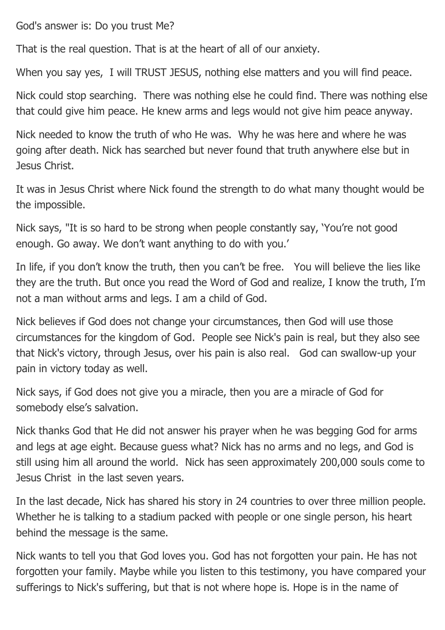God's answer is: Do you trust Me?

That is the real question. That is at the heart of all of our anxiety.

When you say yes, I will TRUST JESUS, nothing else matters and you will find peace.

Nick could stop searching. There was nothing else he could find. There was nothing else that could give him peace. He knew arms and legs would not give him peace anyway.

Nick needed to know the truth of who He was. Why he was here and where he was going after death. Nick has searched but never found that truth anywhere else but in Jesus Christ.

It was in Jesus Christ where Nick found the strength to do what many thought would be the impossible.

Nick says, "It is so hard to be strong when people constantly say, 'You're not good enough. Go away. We don't want anything to do with you.'

In life, if you don't know the truth, then you can't be free. You will believe the lies like they are the truth. But once you read the Word of God and realize, I know the truth, I'm not a man without arms and legs. I am a child of God.

Nick believes if God does not change your circumstances, then God will use those circumstances for the kingdom of God. People see Nick's pain is real, but they also see that Nick's victory, through Jesus, over his pain is also real. God can swallow-up your pain in victory today as well.

Nick says, if God does not give you a miracle, then you are a miracle of God for somebody else's salvation.

Nick thanks God that He did not answer his prayer when he was begging God for arms and legs at age eight. Because guess what? Nick has no arms and no legs, and God is still using him all around the world. Nick has seen approximately 200,000 souls come to Jesus Christ in the last seven years.

In the last decade, Nick has shared his story in 24 countries to over three million people. Whether he is talking to a stadium packed with people or one single person, his heart behind the message is the same.

Nick wants to tell you that God loves you. God has not forgotten your pain. He has not forgotten your family. Maybe while you listen to this testimony, you have compared your sufferings to Nick's suffering, but that is not where hope is. Hope is in the name of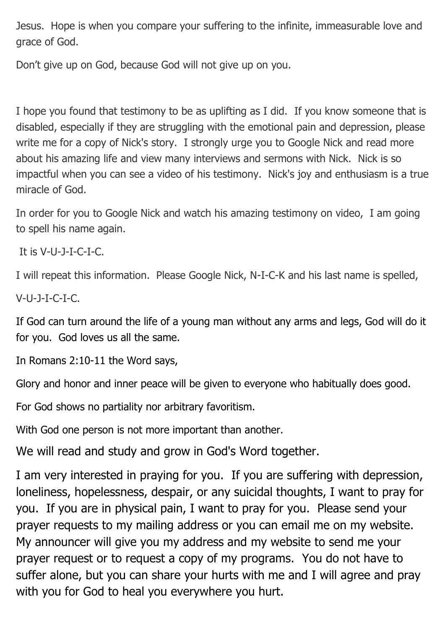Jesus. Hope is when you compare your suffering to the infinite, immeasurable love and grace of God.

Don't give up on God, because God will not give up on you.

I hope you found that testimony to be as uplifting as I did. If you know someone that is disabled, especially if they are struggling with the emotional pain and depression, please write me for a copy of Nick's story. I strongly urge you to Google Nick and read more about his amazing life and view many interviews and sermons with Nick. Nick is so impactful when you can see a video of his testimony. Nick's joy and enthusiasm is a true miracle of God.

In order for you to Google Nick and watch his amazing testimony on video, I am going to spell his name again.

It is V-U-J-I-C-I-C.

I will repeat this information. Please Google Nick, N-I-C-K and his last name is spelled,

V-U-J-I-C-I-C.

If God can turn around the life of a young man without any arms and legs, God will do it for you. God loves us all the same.

In Romans 2:10-11 the Word says,

Glory and honor and inner peace will be given to everyone who habitually does good.

For God shows no partiality nor arbitrary favoritism.

With God one person is not more important than another.

We will read and study and grow in God's Word together.

I am very interested in praying for you. If you are suffering with depression, loneliness, hopelessness, despair, or any suicidal thoughts, I want to pray for you. If you are in physical pain, I want to pray for you. Please send your prayer requests to my mailing address or you can email me on my website. My announcer will give you my address and my website to send me your prayer request or to request a copy of my programs. You do not have to suffer alone, but you can share your hurts with me and I will agree and pray with you for God to heal you everywhere you hurt.